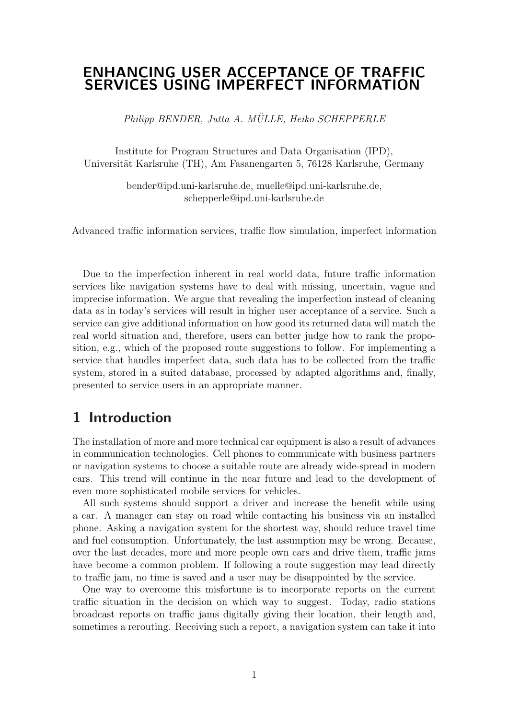## ENHANCING USER ACCEPTANCE OF TRAFFIC SERVICES USING IMPERFECT INFORMATION

Philipp BENDER, Jutta A. MÜLLE, Heiko SCHEPPERLE

Institute for Program Structures and Data Organisation (IPD), Universität Karlsruhe (TH), Am Fasanengarten 5, 76128 Karlsruhe, Germany

> bender@ipd.uni-karlsruhe.de, muelle@ipd.uni-karlsruhe.de, schepperle@ipd.uni-karlsruhe.de

Advanced traffic information services, traffic flow simulation, imperfect information

Due to the imperfection inherent in real world data, future traffic information services like navigation systems have to deal with missing, uncertain, vague and imprecise information. We argue that revealing the imperfection instead of cleaning data as in today's services will result in higher user acceptance of a service. Such a service can give additional information on how good its returned data will match the real world situation and, therefore, users can better judge how to rank the proposition, e.g., which of the proposed route suggestions to follow. For implementing a service that handles imperfect data, such data has to be collected from the traffic system, stored in a suited database, processed by adapted algorithms and, finally, presented to service users in an appropriate manner.

### 1 Introduction

The installation of more and more technical car equipment is also a result of advances in communication technologies. Cell phones to communicate with business partners or navigation systems to choose a suitable route are already wide-spread in modern cars. This trend will continue in the near future and lead to the development of even more sophisticated mobile services for vehicles.

All such systems should support a driver and increase the benefit while using a car. A manager can stay on road while contacting his business via an installed phone. Asking a navigation system for the shortest way, should reduce travel time and fuel consumption. Unfortunately, the last assumption may be wrong. Because, over the last decades, more and more people own cars and drive them, traffic jams have become a common problem. If following a route suggestion may lead directly to traffic jam, no time is saved and a user may be disappointed by the service.

One way to overcome this misfortune is to incorporate reports on the current traffic situation in the decision on which way to suggest. Today, radio stations broadcast reports on traffic jams digitally giving their location, their length and, sometimes a rerouting. Receiving such a report, a navigation system can take it into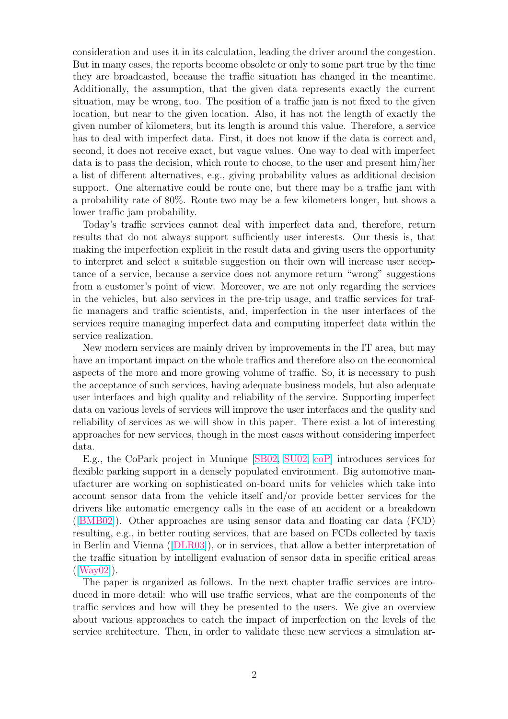consideration and uses it in its calculation, leading the driver around the congestion. But in many cases, the reports become obsolete or only to some part true by the time they are broadcasted, because the traffic situation has changed in the meantime. Additionally, the assumption, that the given data represents exactly the current situation, may be wrong, too. The position of a traffic jam is not fixed to the given location, but near to the given location. Also, it has not the length of exactly the given number of kilometers, but its length is around this value. Therefore, a service has to deal with imperfect data. First, it does not know if the data is correct and, second, it does not receive exact, but vague values. One way to deal with imperfect data is to pass the decision, which route to choose, to the user and present him/her a list of different alternatives, e.g., giving probability values as additional decision support. One alternative could be route one, but there may be a traffic jam with a probability rate of 80%. Route two may be a few kilometers longer, but shows a lower traffic jam probability.

Today's traffic services cannot deal with imperfect data and, therefore, return results that do not always support sufficiently user interests. Our thesis is, that making the imperfection explicit in the result data and giving users the opportunity to interpret and select a suitable suggestion on their own will increase user acceptance of a service, because a service does not anymore return "wrong" suggestions from a customer's point of view. Moreover, we are not only regarding the services in the vehicles, but also services in the pre-trip usage, and traffic services for traffic managers and traffic scientists, and, imperfection in the user interfaces of the services require managing imperfect data and computing imperfect data within the service realization.

New modern services are mainly driven by improvements in the IT area, but may have an important impact on the whole traffics and therefore also on the economical aspects of the more and more growing volume of traffic. So, it is necessary to push the acceptance of such services, having adequate business models, but also adequate user interfaces and high quality and reliability of the service. Supporting imperfect data on various levels of services will improve the user interfaces and the quality and reliability of services as we will show in this paper. There exist a lot of interesting approaches for new services, though in the most cases without considering imperfect data.

E.g., the CoPark project in Munique [SB02, SU02, coP] introduces services for flexible parking support in a densely populated environment. Big automotive manufacturer are working on sophisticated on-board units for vehicles which take into account sensor data from the vehicle its[elf and](#page-12-0)[/or pr](#page-13-0)[ovide](#page-11-0) better services for the drivers like automatic emergency calls in the case of an accident or a breakdown ([BMB02]). Other approaches are using sensor data and floating car data (FCD) resulting, e.g., in better routing services, that are based on FCDs collected by taxis in Berlin and Vienna ([DLR03]), or in services, that allow a better interpretation of t[he traffic](#page-11-0) situation by intelligent evaluation of sensor data in specific critical areas ([Way02]).

The paper is organi[zed as fo](#page-11-0)llows. In the next chapter traffic services are introduced in more detail: who will use traffic services, what are the components of the traffic services and how will they be presented to the users. We give an overview a[bout va](#page-13-0)rious approaches to catch the impact of imperfection on the levels of the service architecture. Then, in order to validate these new services a simulation ar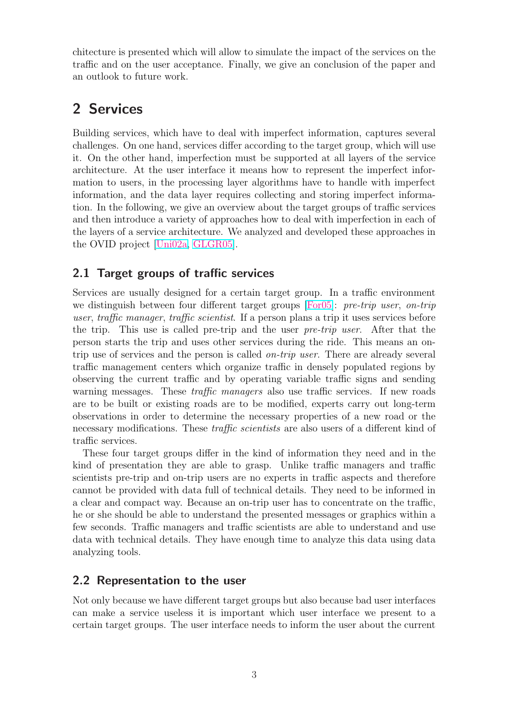chitecture is presented which will allow to simulate the impact of the services on the traffic and on the user acceptance. Finally, we give an conclusion of the paper and an outlook to future work.

# 2 Services

Building services, which have to deal with imperfect information, captures several challenges. On one hand, services differ according to the target group, which will use it. On the other hand, imperfection must be supported at all layers of the service architecture. At the user interface it means how to represent the imperfect information to users, in the processing layer algorithms have to handle with imperfect information, and the data layer requires collecting and storing imperfect information. In the following, we give an overview about the target groups of traffic services and then introduce a variety of approaches how to deal with imperfection in each of the layers of a service architecture. We analyzed and developed these approaches in the OVID project [Uni02a, GLGR05].

### 2.1 Target groups of traffic services

Services are usuall[y design](#page-13-0)[ed for a c](#page-11-0)ertain target group. In a traffic environment we distinguish between four different target groups [For05]: pre-trip user, on-trip user, traffic manager, traffic scientist. If a person plans a trip it uses services before the trip. This use is called pre-trip and the user pre-trip user. After that the person starts the trip and uses other services during [the ri](#page-11-0)de. This means an ontrip use of services and the person is called on-trip user. There are already several traffic management centers which organize traffic in densely populated regions by observing the current traffic and by operating variable traffic signs and sending warning messages. These *traffic managers* also use traffic services. If new roads are to be built or existing roads are to be modified, experts carry out long-term observations in order to determine the necessary properties of a new road or the necessary modifications. These *traffic scientists* are also users of a different kind of traffic services.

These four target groups differ in the kind of information they need and in the kind of presentation they are able to grasp. Unlike traffic managers and traffic scientists pre-trip and on-trip users are no experts in traffic aspects and therefore cannot be provided with data full of technical details. They need to be informed in a clear and compact way. Because an on-trip user has to concentrate on the traffic, he or she should be able to understand the presented messages or graphics within a few seconds. Traffic managers and traffic scientists are able to understand and use data with technical details. They have enough time to analyze this data using data analyzing tools.

### 2.2 Representation to the user

Not only because we have different target groups but also because bad user interfaces can make a service useless it is important which user interface we present to a certain target groups. The user interface needs to inform the user about the current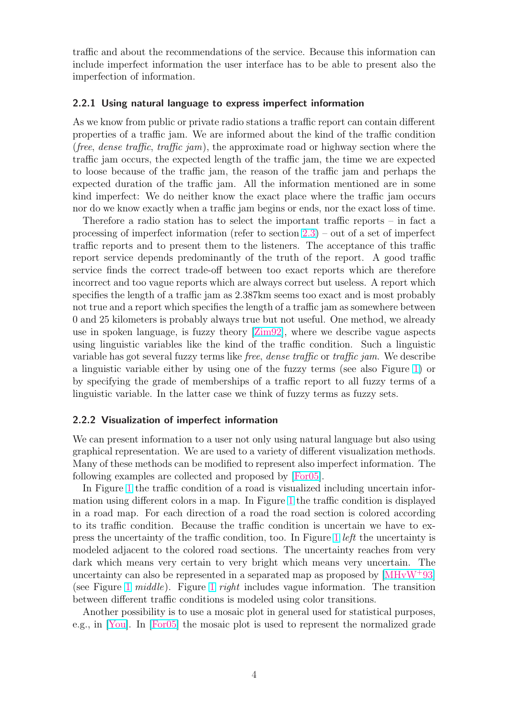traffic and about the recommendations of the service. Because this information can include imperfect information the user interface has to be able to present also the imperfection of information.

#### 2.2.1 Using natural language to express imperfect information

As we know from public or private radio stations a traffic report can contain different properties of a traffic jam. We are informed about the kind of the traffic condition (free, dense traffic, traffic jam), the approximate road or highway section where the traffic jam occurs, the expected length of the traffic jam, the time we are expected to loose because of the traffic jam, the reason of the traffic jam and perhaps the expected duration of the traffic jam. All the information mentioned are in some kind imperfect: We do neither know the exact place where the traffic jam occurs nor do we know exactly when a traffic jam begins or ends, nor the exact loss of time.

Therefore a radio station has to select the important traffic reports – in fact a processing of imperfect information (refer to section 2.3) – out of a set of imperfect traffic reports and to present them to the listeners. The acceptance of this traffic report service depends predominantly of the truth of the report. A good traffic service finds the correct trade-off between too exa[ct r](#page-5-0)eports which are therefore incorrect and too vague reports which are always correct but useless. A report which specifies the length of a traffic jam as 2.387km seems too exact and is most probably not true and a report which specifies the length of a traffic jam as somewhere between 0 and 25 kilometers is probably always true but not useful. One method, we already use in spoken language, is fuzzy theory [Zim92], where we describe vague aspects using linguistic variables like the kind of the traffic condition. Such a linguistic variable has got several fuzzy terms like *free, dense traffic* or *traffic jam*. We describe a linguistic variable either by using one [of the](#page-13-0) fuzzy terms (see also Figure 1) or by specifying the grade of memberships of a traffic report to all fuzzy terms of a linguistic variable. In the latter case we think of fuzzy terms as fuzzy sets.

#### 2.2.2 Visualization of imperfect information

We can present information to a user not only using natural language but also using graphical representation. We are used to a variety of different visualization methods. Many of these methods can be modified to represent also imperfect information. The following examples are collected and proposed by [For05].

In Figure 1 the traffic condition of a road is visualized including uncertain information using different colors in a map. In Figure 1 the traffic condition is displayed in a road map. For each direction of a road the [road se](#page-11-0)ction is colored according to its traffi[c c](#page-4-0)ondition. Because the traffic condition is uncertain we have to express the uncertainty of the traffic condition, too. [In](#page-4-0) Figure 1 left the uncertainty is modeled adjacent to the colored road sections. The uncertainty reaches from very dark which means very certain to very bright which means very uncertain. The uncertainty can also be represented in a separated map as p[ro](#page-4-0)posed by [MHvW<sup>+</sup>93] (see Figure 1 middle). Figure 1 right includes vague information. The transition between different traffic conditions is modeled using color transitions.

Another possibility is to use a mosaic plot in general used for statisti[cal purposes,](#page-12-0) e.g., in [Yo[u\].](#page-4-0) In [For05] the m[os](#page-4-0)aic plot is used to represent the normalized grade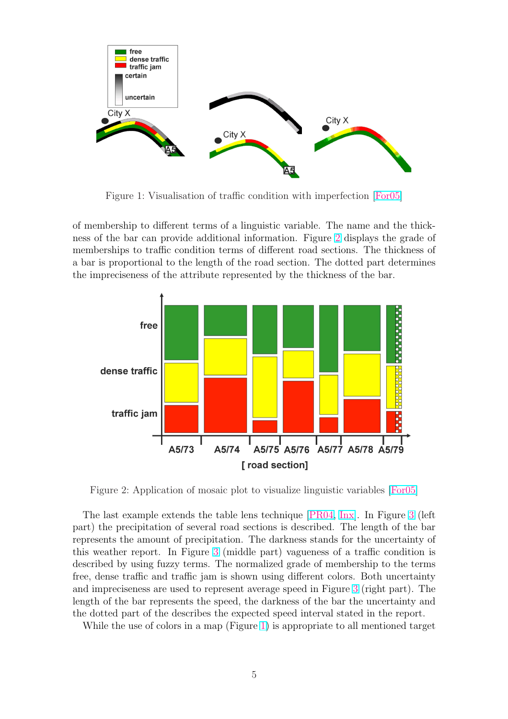<span id="page-4-0"></span>

Figure 1: Visualisation of traffic condition with imperfection [For05]

of membership to different terms of a linguistic variable. The name and the thickness of the bar can provide additional information. Figure 2 display[s the g](#page-11-0)rade of memberships to traffic condition terms of different road sections. The thickness of a bar is proportional to the length of the road section. The dotted part determines the impreciseness of the attribute represented by the thickness of the bar.



Figure 2: Application of mosaic plot to visualize linguistic variables [For05]

The last example extends the table lens technique [PR04, Inx]. In Figure 3 (left part) the precipitation of several road sections is described. The length [of the](#page-11-0) bar represents the amount of precipitation. The darkness stands for the uncertainty of this weather report. In Figure 3 (middle part) vagu[eness of a t](#page-12-0)raffic condi[tio](#page-5-0)n is described by using fuzzy terms. The normalized grade of membership to the terms free, dense traffic and traffic jam is shown using different colors. Both uncertainty and impreciseness are used to r[epr](#page-5-0)esent average speed in Figure 3 (right part). The length of the bar represents the speed, the darkness of the bar the uncertainty and the dotted part of the describes the expected speed interval stated in the report.

While the use of colors in a map (Figure 1) is appropriate to a[ll](#page-5-0) mentioned target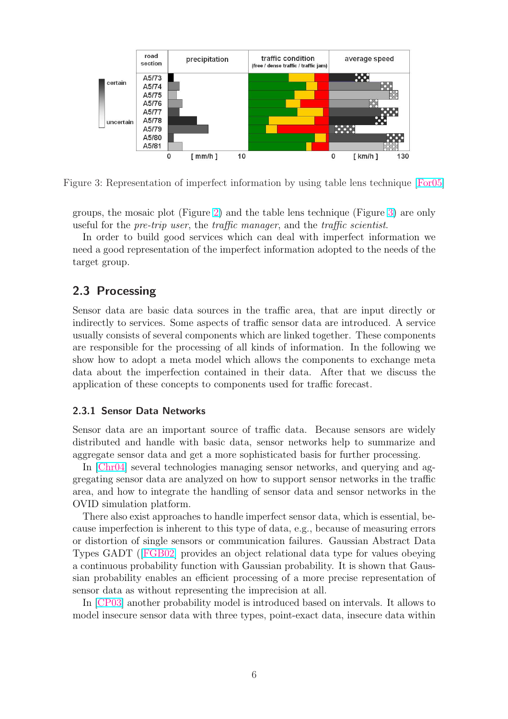<span id="page-5-0"></span>

Figure 3: Representation of imperfect information by using table lens technique [For05]

groups, the mosaic plot (Figure 2) and the table lens technique (Figure 3) are only useful for the pre-trip user, the traffic manager, and the traffic scientist.

In order to build good services which can deal with imperfect information we need a good representation of th[e](#page-4-0) imperfect information adopted to the needs of the target group.

#### 2.3 Processing

Sensor data are basic data sources in the traffic area, that are input directly or indirectly to services. Some aspects of traffic sensor data are introduced. A service usually consists of several components which are linked together. These components are responsible for the processing of all kinds of information. In the following we show how to adopt a meta model which allows the components to exchange meta data about the imperfection contained in their data. After that we discuss the application of these concepts to components used for traffic forecast.

#### 2.3.1 Sensor Data Networks

Sensor data are an important source of traffic data. Because sensors are widely distributed and handle with basic data, sensor networks help to summarize and aggregate sensor data and get a more sophisticated basis for further processing.

In [Chr04] several technologies managing sensor networks, and querying and aggregating sensor data are analyzed on how to support sensor networks in the traffic area, and how to integrate the handling of sensor data and sensor networks in the OVI[D simula](#page-11-0)tion platform.

There also exist approaches to handle imperfect sensor data, which is essential, because imperfection is inherent to this type of data, e.g., because of measuring errors or distortion of single sensors or communication failures. Gaussian Abstract Data Types GADT ([FGB02] provides an object relational data type for values obeying a continuous probability function with Gaussian probability. It is shown that Gaussian probability enables an efficient processing of a more precise representation of sensor data as [without r](#page-11-0)epresenting the imprecision at all.

In [CP03] another probability model is introduced based on intervals. It allows to model insecure sensor data with three types, point-exact data, insecure data within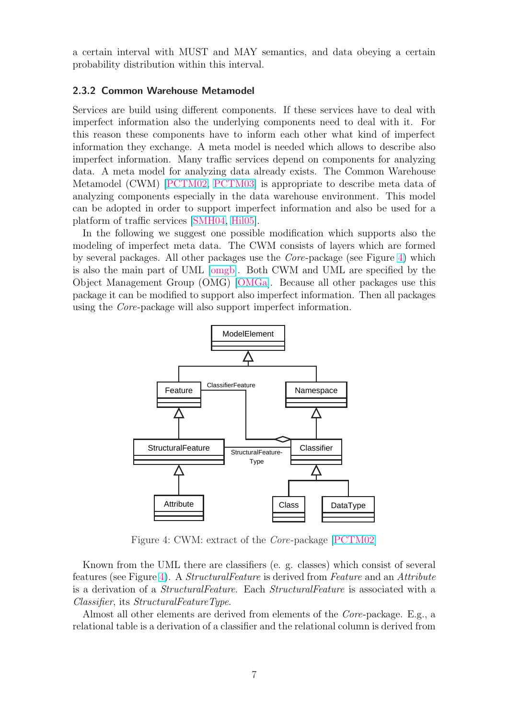a certain interval with MUST and MAY semantics, and data obeying a certain probability distribution within this interval.

#### 2.3.2 Common Warehouse Metamodel

Services are build using different components. If these services have to deal with imperfect information also the underlying components need to deal with it. For this reason these components have to inform each other what kind of imperfect information they exchange. A meta model is needed which allows to describe also imperfect information. Many traffic services depend on components for analyzing data. A meta model for analyzing data already exists. The Common Warehouse Metamodel (CWM) [PCTM02, PCTM03] is appropriate to describe meta data of analyzing components especially in the data warehouse environment. This model can be adopted in order to support imperfect information and also be used for a platform of traffic se[rvices \[SMH](#page-12-0)04, [Hil05\]](#page-12-0).

In the following we suggest one possible modification which supports also the modeling of imperfect meta data. The CWM consists of layers which are formed by several packages. All ot[her pack](#page-12-0)[ages us](#page-11-0)e the Core-package (see Figure 4) which is also the main part of UML [omgb]. Both CWM and UML are specified by the Object Management Group (OMG) [OMGa]. Because all other packages use this package it can be modified to support also imperfect information. Then all packages using the Core-package will als[o supp](#page-12-0)ort imperfect information.



Figure 4: CWM: extract of the Core-package [PCTM02]

Known from the UML there are classifiers (e. g. classes) which consist of several features (see Figure 4). A StructuralFeature is derived from [Feature](#page-12-0) and an Attribute is a derivation of a StructuralFeature. Each StructuralFeature is associated with a Classifier, its StructuralFeatureType.

Almost all other elements are derived from elements of the Core-package. E.g., a relational table is a derivation of a classifier and the relational column is derived from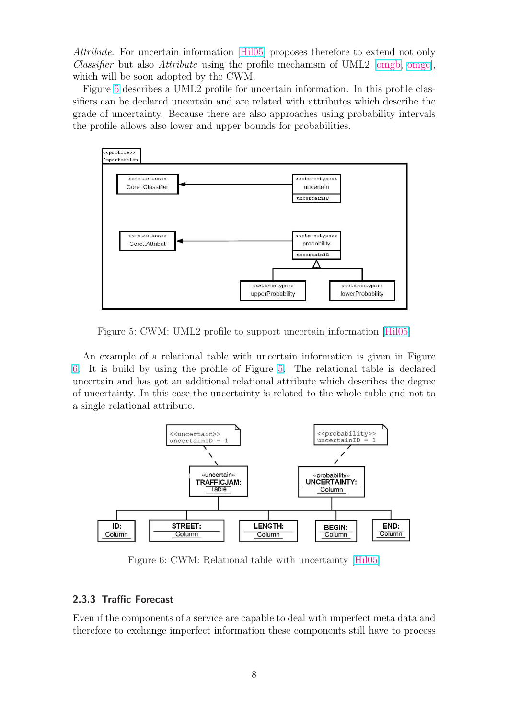Attribute. For uncertain information [Hil05] proposes therefore to extend not only Classifier but also Attribute using the profile mechanism of UML2 [omgb, omgc], which will be soon adopted by the CWM.

Figure 5 describes a UML2 profile f[or unc](#page-11-0)ertain information. In this profile classifiers can be declared uncertain and are related with attributes which describe the grade of uncertainty. Because there are also approaches using proba[bility interval](#page-12-0)s the profile allows also lower and upper bounds for probabilities.



Figure 5: CWM: UML2 profile to support uncertain information [Hil05]

An example of a relational table with uncertain information is given in Figure 6. It is build by using the profile of Figure 5. The relational table [is de](#page-11-0)clared uncertain and has got an additional relational attribute which describes the degree of uncertainty. In this case the uncertainty is related to the whole table and not to a single relational attribute.



Figure 6: CWM: Relational table with uncertainty [Hil05]

#### 2.3.3 Traffic Forecast

Even if the components of a service are capable to deal with imperfect meta data and therefore to exchange imperfect information these components still have to process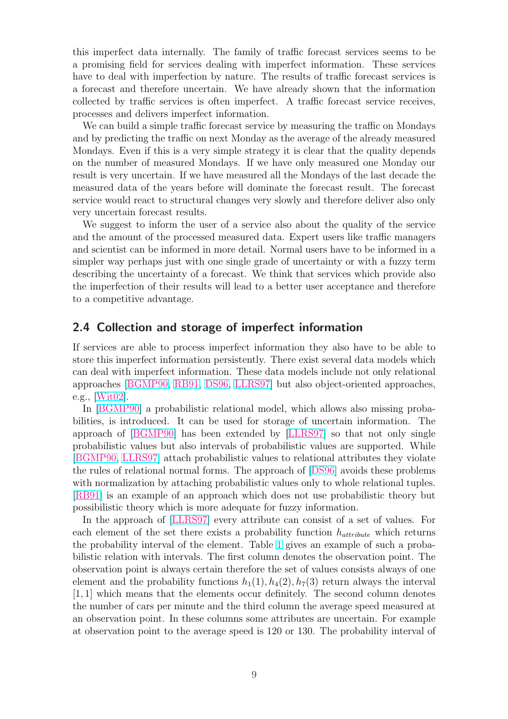this imperfect data internally. The family of traffic forecast services seems to be a promising field for services dealing with imperfect information. These services have to deal with imperfection by nature. The results of traffic forecast services is a forecast and therefore uncertain. We have already shown that the information collected by traffic services is often imperfect. A traffic forecast service receives, processes and delivers imperfect information.

We can build a simple traffic forecast service by measuring the traffic on Mondays and by predicting the traffic on next Monday as the average of the already measured Mondays. Even if this is a very simple strategy it is clear that the quality depends on the number of measured Mondays. If we have only measured one Monday our result is very uncertain. If we have measured all the Mondays of the last decade the measured data of the years before will dominate the forecast result. The forecast service would react to structural changes very slowly and therefore deliver also only very uncertain forecast results.

We suggest to inform the user of a service also about the quality of the service and the amount of the processed measured data. Expert users like traffic managers and scientist can be informed in more detail. Normal users have to be informed in a simpler way perhaps just with one single grade of uncertainty or with a fuzzy term describing the uncertainty of a forecast. We think that services which provide also the imperfection of their results will lead to a better user acceptance and therefore to a competitive advantage.

#### 2.4 Collection and storage of imperfect information

If services are able to process imperfect information they also have to be able to store this imperfect information persistently. There exist several data models which can deal with imperfect information. These data models include not only relational approaches [BGMP90, RB91, DS96, LLRS97] but also object-oriented approaches, e.g., [Wit02].

In [BGMP90] a probabilistic relational model, which allows also missing probabilities, is i[ntroduced.](#page-11-0) [It can](#page-12-0) [be us](#page-11-0)[ed for st](#page-12-0)orage of uncertain information. The appr[oach of](#page-13-0) [BGMP90] has been extended by [LLRS97] so that not only single prob[abilistic va](#page-11-0)lues but also intervals of probabilistic values are supported. While [BGMP90, LLRS97] attach probabilistic values to relational attributes they violate the rules of r[elational no](#page-11-0)rmal forms. The approa[ch of \[DS](#page-12-0)96] avoids these problems with normalization by attaching probabilistic values only to whole relational tuples. [\[RB91\] is](#page-11-0) [an examp](#page-12-0)le of an approach which does not use probabilistic theory but possibilistic theory which is more adequate for fuzzy i[nforma](#page-11-0)tion.

In the approach of [LLRS97] every attribute can consist of a set of values. For [each el](#page-12-0)ement of the set there exists a probability function  $h_{attribute}$  which returns the probability interval of the element. Table 1 gives an example of such a probabilistic relation with i[ntervals. T](#page-12-0)he first column denotes the observation point. The observation point is always certain therefore the set of values consists always of one element and the probability functions  $h_1(1)$ ,  $h_4(2)$ ,  $h_7(3)$  return always the interval [1, 1] which means that the elements occur de[fin](#page-9-0)itely. The second column denotes the number of cars per minute and the third column the average speed measured at an observation point. In these columns some attributes are uncertain. For example at observation point to the average speed is 120 or 130. The probability interval of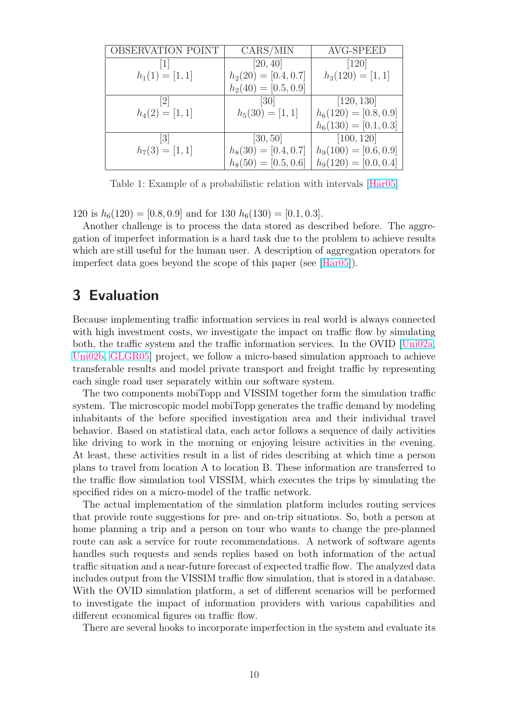<span id="page-9-0"></span>

| OBSERVATION POINT | CARS/MIN               | AVG-SPEED               |
|-------------------|------------------------|-------------------------|
|                   | [20, 40]               | $[120]$                 |
| $h_1(1) = [1, 1]$ | $h_2(20) = [0.4, 0.7]$ | $h_3(120) = [1, 1]$     |
|                   | $h_2(40) = [0.5, 0.9]$ |                         |
| 2                 | $\left[30\right]$      | [120, 130]              |
| $h_4(2) = [1, 1]$ | $h_5(30) = [1, 1]$     | $h_6(120) = [0.8, 0.9]$ |
|                   |                        | $h_6(130) = [0.1, 0.3]$ |
| 3                 | [30, 50]               | $\overline{[100, 120]}$ |
| $h_7(3) = [1, 1]$ | $h_8(30) = [0.4, 0.7]$ | $h_9(100) = [0.6, 0.9]$ |
|                   | $h_8(50) = [0.5, 0.6]$ | $h_9(120) = [0.0, 0.4]$ |

Table 1: Example of a probabilistic relation with intervals [H $\ddot{a}$ r05]

120 is  $h_6(120) = [0.8, 0.9]$  and for 130  $h_6(130) = [0.1, 0.3]$ .

Another challenge is to process the data stored as described bef[ore. Th](#page-12-0)e aggregation of imperfect information is a hard task due to the problem to achieve results which are still useful for the human user. A description of aggregation operators for imperfect data goes beyond the scope of this paper (see  $[\text{Här05}]$ ).

### 3 Evaluation

Because implementing traffic information services in real world is always connected with high investment costs, we investigate the impact on traffic flow by simulating both, the traffic system and the traffic information services. In the OVID [Uni02a, Uni02b, GLGR05] project, we follow a micro-based simulation approach to achieve transferable results and model private transport and freight traffic by representing each single road user separately within our software system.

[The t](#page-13-0)[wo compo](#page-11-0)nents mobiTopp and VISSIM together form the simulatio[n traffic](#page-13-0) system. The microscopic model mobiTopp generates the traffic demand by modeling inhabitants of the before specified investigation area and their individual travel behavior. Based on statistical data, each actor follows a sequence of daily activities like driving to work in the morning or enjoying leisure activities in the evening. At least, these activities result in a list of rides describing at which time a person plans to travel from location A to location B. These information are transferred to the traffic flow simulation tool VISSIM, which executes the trips by simulating the specified rides on a micro-model of the traffic network.

The actual implementation of the simulation platform includes routing services that provide route suggestions for pre- and on-trip situations. So, both a person at home planning a trip and a person on tour who wants to change the pre-planned route can ask a service for route recommendations. A network of software agents handles such requests and sends replies based on both information of the actual traffic situation and a near-future forecast of expected traffic flow. The analyzed data includes output from the VISSIM traffic flow simulation, that is stored in a database. With the OVID simulation platform, a set of different scenarios will be performed to investigate the impact of information providers with various capabilities and different economical figures on traffic flow.

There are several hooks to incorporate imperfection in the system and evaluate its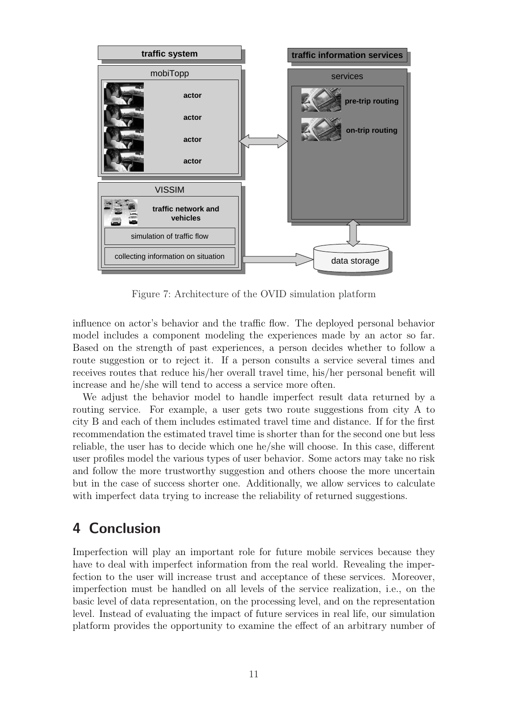

Figure 7: Architecture of the OVID simulation platform

influence on actor's behavior and the traffic flow. The deployed personal behavior model includes a component modeling the experiences made by an actor so far. Based on the strength of past experiences, a person decides whether to follow a route suggestion or to reject it. If a person consults a service several times and receives routes that reduce his/her overall travel time, his/her personal benefit will increase and he/she will tend to access a service more often.

We adjust the behavior model to handle imperfect result data returned by a routing service. For example, a user gets two route suggestions from city A to city B and each of them includes estimated travel time and distance. If for the first recommendation the estimated travel time is shorter than for the second one but less reliable, the user has to decide which one he/she will choose. In this case, different user profiles model the various types of user behavior. Some actors may take no risk and follow the more trustworthy suggestion and others choose the more uncertain but in the case of success shorter one. Additionally, we allow services to calculate with imperfect data trying to increase the reliability of returned suggestions.

### 4 Conclusion

Imperfection will play an important role for future mobile services because they have to deal with imperfect information from the real world. Revealing the imperfection to the user will increase trust and acceptance of these services. Moreover, imperfection must be handled on all levels of the service realization, i.e., on the basic level of data representation, on the processing level, and on the representation level. Instead of evaluating the impact of future services in real life, our simulation platform provides the opportunity to examine the effect of an arbitrary number of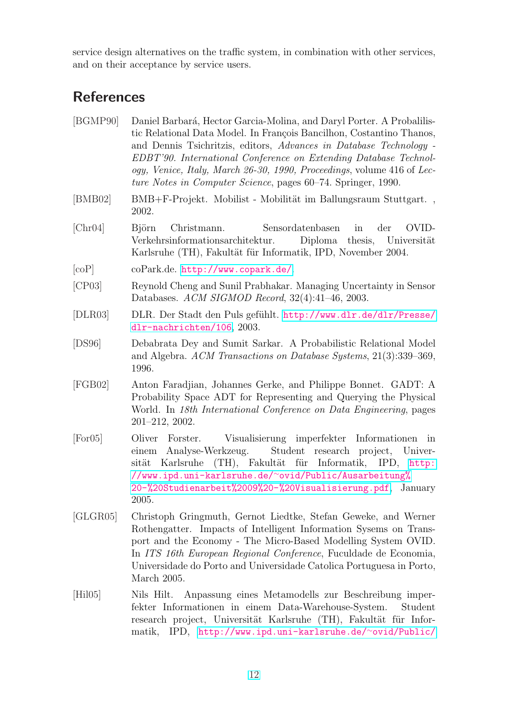<span id="page-11-0"></span>service design alternatives on the traffic system, in combination with other services, and on their acceptance by service users.

# **References**

| [BGMP90] | Daniel Barbará, Hector Garcia-Molina, and Daryl Porter. A Probalilis-<br>tic Relational Data Model. In François Bancilhon, Costantino Thanos,<br>and Dennis Tsichritzis, editors, Advances in Database Technology -<br>EDBT'90. International Conference on Extending Database Technol-<br>ogy, Venice, Italy, March 26-30, 1990, Proceedings, volume 416 of Lec-<br>ture Notes in Computer Science, pages 60–74. Springer, 1990. |  |  |
|----------|-----------------------------------------------------------------------------------------------------------------------------------------------------------------------------------------------------------------------------------------------------------------------------------------------------------------------------------------------------------------------------------------------------------------------------------|--|--|
| [BMB02]  | BMB+F-Projekt. Mobilist - Mobilität im Ballungsraum Stuttgart.,<br>2002.                                                                                                                                                                                                                                                                                                                                                          |  |  |
| [Chr04]  | <b>B</b> jörn<br>der<br>OVID-<br>Christmann.<br>Sensordatenbasen<br>in<br>Verkehrsinformationsarchitektur.<br>Diploma thesis, Universität<br>Karlsruhe (TH), Fakultät für Informatik, IPD, November 2004.                                                                                                                                                                                                                         |  |  |
| [coP]    | coPark.de. http://www.copark.de/.                                                                                                                                                                                                                                                                                                                                                                                                 |  |  |
| [CP03]   | Reynold Cheng and Sunil Prabhakar. Managing Uncertainty in Sensor<br>Databases. ACM SIGMOD Record, 32(4):41-46, 2003.                                                                                                                                                                                                                                                                                                             |  |  |
| [DLR03]  | DLR. Der Stadt den Puls gefühlt. http://www.dlr.de/dlr/Presse/<br>dlr-nachrichten/106, 2003.                                                                                                                                                                                                                                                                                                                                      |  |  |
| [DS96]   | Debabrata Dey and Sumit Sarkar. A Probabilistic Relational Model<br>and Algebra. ACM Transactions on Database Systems, 21(3):339–369,<br>1996.                                                                                                                                                                                                                                                                                    |  |  |
| [FGB02]  | Anton Faradjian, Johannes Gerke, and Philippe Bonnet. GADT: A<br>Probability Space ADT for Representing and Querying the Physical<br>World. In 18th International Conference on Data Engineering, pages<br>$201 - 212$ , $2002$ .                                                                                                                                                                                                 |  |  |
| [For 05] | Visualisierung imperfekter Informationen in<br>Oliver<br>Forster.<br>Student research project, Univer-<br>einem Analyse-Werkzeug.<br>sität Karlsruhe (TH), Fakultät für Informatik, IPD, http:<br>//www.ipd.uni-karlsruhe.de/~ovid/Public/Ausarbeitung%<br>20-%20Studienarbeit%2009%20-%20Visualisierung.pdf, January<br>2005.                                                                                                    |  |  |
| [GLGR05] | Christoph Gringmuth, Gernot Liedtke, Stefan Geweke, and Werner<br>Rothengatter. Impacts of Intelligent Information Sysems on Trans-<br>port and the Economy - The Micro-Based Modelling System OVID.<br>In ITS 16th European Regional Conference, Fuculdade de Economia,<br>Universidade do Porto and Universidade Catolica Portuguesa in Porto,<br>March 2005.                                                                   |  |  |
| [Hil05]  | Nils Hilt.<br>Anpassung eines Metamodells zur Beschreibung imper-<br>fekter Informationen in einem Data-Warehouse-System.<br>Student<br>research project, Universität Karlsruhe (TH), Fakultät für Infor-<br>matik, IPD, http://www.ipd.uni-karlsruhe.de/~ovid/Public/                                                                                                                                                            |  |  |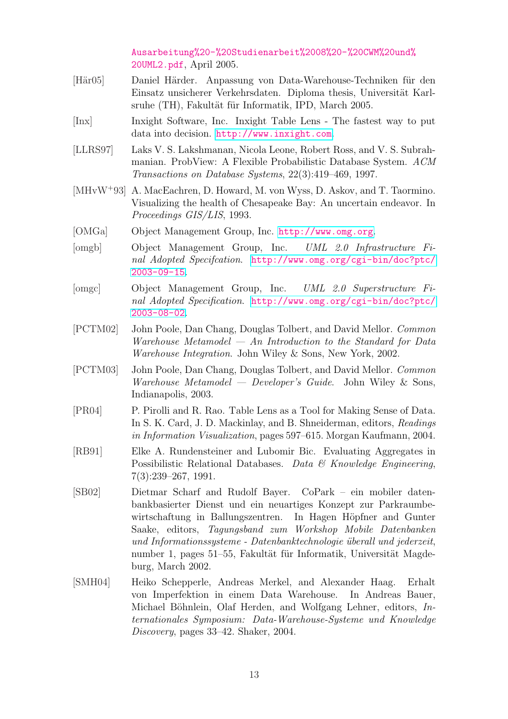Ausarbeitung%20-%20Studienarbeit%2008%20-%20CWM%20und% 20UML2.pdf, April 2005.

- <span id="page-12-0"></span>[Här05] Daniel Härder. Anpassung von Data-Warehouse-Techniken für den Einsatz unsicherer Verkehrsdaten. Diploma thesis, Universität Karlsruhe (TH), Fakultät für Informatik, IPD, March 2005.
- [Inx] Inxight Software, Inc. Inxight Table Lens The fastest way to put data into decision. http://www.inxight.com.
- [LLRS97] Laks V. S. Lakshmanan, Nicola Leone, Robert Ross, and V. S. Subrahmanian. ProbView: A Flexible Probabilistic Database System. ACM Transactions on D[atabase Systems](http://www.inxight.com), 22(3):419–469, 1997.
- [MHvW<sup>+</sup>93] A. MacEachren, D. Howard, M. von Wyss, D. Askov, and T. Taormino. Visualizing the health of Chesapeake Bay: An uncertain endeavor. In Proceedings GIS/LIS, 1993.
- [OMGa] Object Management Group, Inc. http://www.omg.org.
- [omgb] Object Management Group, Inc. UML 2.0 Infrastructure Final Adopted Specifcation. http://www.omg.org/cgi-bin/doc?ptc/ 2003-09-15.
- [omgc] Object Management Group, Inc. UML 2.0 Superstructure Final Adopted Specification. [http://www.omg.org/cgi-bin/doc?ptc/](http://www.omg.org/cgi-bin/doc?ptc/2003-09-15) [2003-08-02](http://www.omg.org/cgi-bin/doc?ptc/2003-09-15).
- [PCTM02] John Poole, Dan Chang, Douglas Tolbert, and David Mellor. Common Warehouse Metamodel — [An Introduction to the Standard for Data](http://www.omg.org/cgi-bin/doc?ptc/2003-08-02) [Warehouse I](http://www.omg.org/cgi-bin/doc?ptc/2003-08-02)ntegration. John Wiley & Sons, New York, 2002.
- [PCTM03] John Poole, Dan Chang, Douglas Tolbert, and David Mellor. Common Warehouse Metamodel — Developer's Guide. John Wiley & Sons, Indianapolis, 2003.
- [PR04] P. Pirolli and R. Rao. Table Lens as a Tool for Making Sense of Data. In S. K. Card, J. D. Mackinlay, and B. Shneiderman, editors, Readings in Information Visualization, pages 597–615. Morgan Kaufmann, 2004.
- [RB91] Elke A. Rundensteiner and Lubomir Bic. Evaluating Aggregates in Possibilistic Relational Databases. Data  $\mathcal{C}$  Knowledge Engineering, 7(3):239–267, 1991.
- [SB02] Dietmar Scharf and Rudolf Bayer. CoPark ein mobiler datenbankbasierter Dienst und ein neuartiges Konzept zur Parkraumbewirtschaftung in Ballungszentren. In Hagen Höpfner and Gunter Saake, editors, Tagungsband zum Workshop Mobile Datenbanken und Informationssysteme - Datenbanktechnologie überall und jederzeit, number 1, pages 51–55, Fakultät für Informatik, Universität Magdeburg, March 2002.
- [SMH04] Heiko Schepperle, Andreas Merkel, and Alexander Haag. Erhalt von Imperfektion in einem Data Warehouse. In Andreas Bauer, Michael Böhnlein, Olaf Herden, and Wolfgang Lehner, editors,  $In$ ternationales Symposium: Data-Warehouse-Systeme und Knowledge Discovery, pages 33–42. Shaker, 2004.